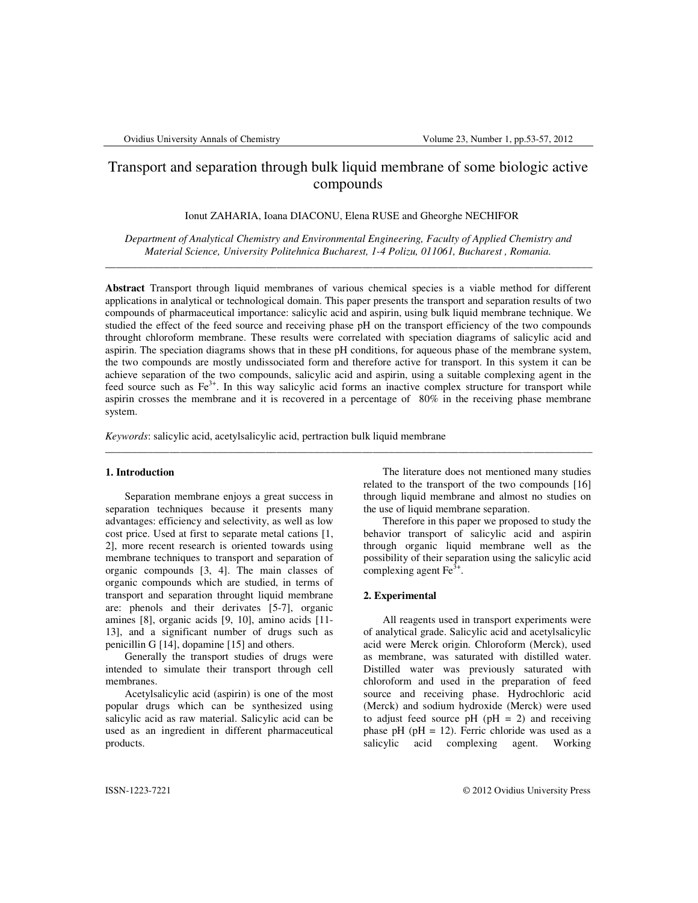# Transport and separation through bulk liquid membrane of some biologic active compounds

Ionut ZAHARIA, Ioana DIACONU, Elena RUSE and Gheorghe NECHIFOR

*Department of Analytical Chemistry and Environmental Engineering, Faculty of Applied Chemistry and Material Science, University Politehnica Bucharest, 1-4 Polizu, 011061, Bucharest , Romania.*  \_\_\_\_\_\_\_\_\_\_\_\_\_\_\_\_\_\_\_\_\_\_\_\_\_\_\_\_\_\_\_\_\_\_\_\_\_\_\_\_\_\_\_\_\_\_\_\_\_\_\_\_\_\_\_\_\_\_\_\_\_\_\_\_\_\_\_\_\_\_\_\_\_\_\_\_\_\_\_\_\_\_\_\_\_\_\_\_\_\_\_

**Abstract** Transport through liquid membranes of various chemical species is a viable method for different applications in analytical or technological domain. This paper presents the transport and separation results of two compounds of pharmaceutical importance: salicylic acid and aspirin, using bulk liquid membrane technique. We studied the effect of the feed source and receiving phase pH on the transport efficiency of the two compounds throught chloroform membrane. These results were correlated with speciation diagrams of salicylic acid and aspirin. The speciation diagrams shows that in these pH conditions, for aqueous phase of the membrane system, the two compounds are mostly undissociated form and therefore active for transport. In this system it can be achieve separation of the two compounds, salicylic acid and aspirin, using a suitable complexing agent in the feed source such as  $Fe^{3+}$ . In this way salicylic acid forms an inactive complex structure for transport while aspirin crosses the membrane and it is recovered in a percentage of 80% in the receiving phase membrane system.

\_\_\_\_\_\_\_\_\_\_\_\_\_\_\_\_\_\_\_\_\_\_\_\_\_\_\_\_\_\_\_\_\_\_\_\_\_\_\_\_\_\_\_\_\_\_\_\_\_\_\_\_\_\_\_\_\_\_\_\_\_\_\_\_\_\_\_\_\_\_\_\_\_\_\_\_\_\_\_\_\_\_\_\_\_\_\_\_\_\_\_

*Keywords*: salicylic acid, acetylsalicylic acid, pertraction bulk liquid membrane

#### **1. Introduction**

Separation membrane enjoys a great success in separation techniques because it presents many advantages: efficiency and selectivity, as well as low cost price. Used at first to separate metal cations [1, 2], more recent research is oriented towards using membrane techniques to transport and separation of organic compounds [3, 4]. The main classes of organic compounds which are studied, in terms of transport and separation throught liquid membrane are: phenols and their derivates [5-7], organic amines [8], organic acids [9, 10], amino acids [11- 13], and a significant number of drugs such as penicillin G [14], dopamine [15] and others.

Generally the transport studies of drugs were intended to simulate their transport through cell membranes.

Acetylsalicylic acid (aspirin) is one of the most popular drugs which can be synthesized using salicylic acid as raw material. Salicylic acid can be used as an ingredient in different pharmaceutical products.

The literature does not mentioned many studies related to the transport of the two compounds [16] through liquid membrane and almost no studies on the use of liquid membrane separation.

Therefore in this paper we proposed to study the behavior transport of salicylic acid and aspirin through organic liquid membrane well as the possibility of their separation using the salicylic acid complexing agent  $\text{Fe}^{3+}$ .

## **2. Experimental**

All reagents used in transport experiments were of analytical grade. Salicylic acid and acetylsalicylic acid were Merck origin. Chloroform (Merck), used as membrane, was saturated with distilled water. Distilled water was previously saturated with chloroform and used in the preparation of feed source and receiving phase. Hydrochloric acid (Merck) and sodium hydroxide (Merck) were used to adjust feed source  $pH (pH = 2)$  and receiving phase pH ( $pH = 12$ ). Ferric chloride was used as a salicylic acid complexing agent. Working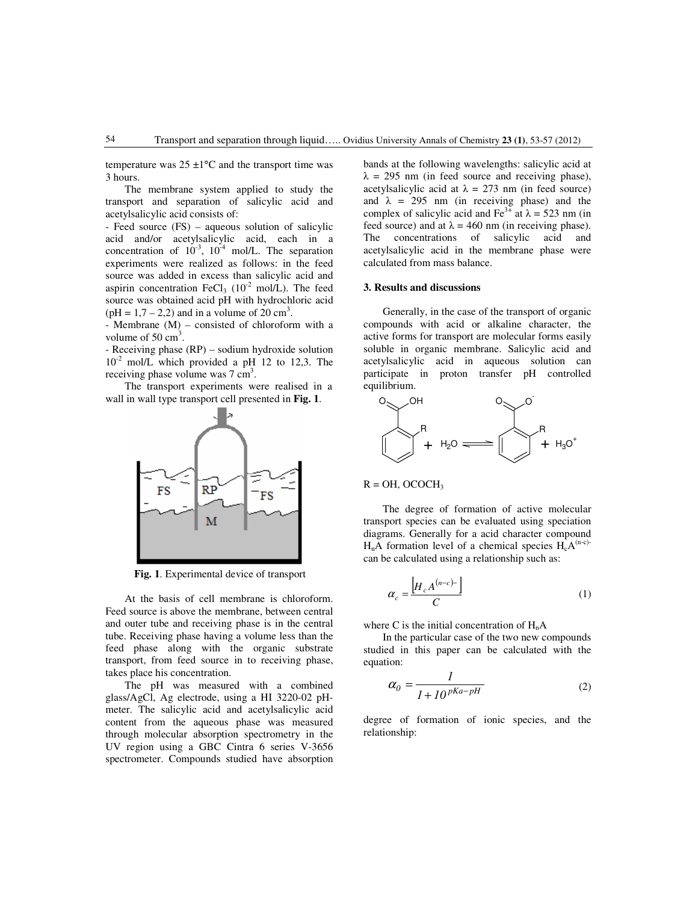temperature was  $25 \pm 1$ °C and the transport time was 3 hours.

The membrane system applied to study the transport and separation of salicylic acid and acetylsalicylic acid consists of:

- Feed source (FS) – aqueous solution of salicylic acid and/or acetylsalicylic acid, each in a concentration of  $10^{-3}$ ,  $10^{-4}$  mol/L. The separation experiments were realized as follows: in the feed source was added in excess than salicylic acid and aspirin concentration FeCl<sub>3</sub> ( $10^{-2}$  mol/L). The feed source was obtained acid pH with hydrochloric acid  $(pH = 1, 7 - 2, 2)$  and in a volume of 20 cm<sup>3</sup>.

- Membrane (M) – consisted of chloroform with a volume of  $50 \text{ cm}^3$ .

- Receiving phase (RP) – sodium hydroxide solution  $10^{-2}$  mol/L which provided a pH 12 to 12,3. The receiving phase volume was  $7 \text{ cm}^3$ .

The transport experiments were realised in a wall in wall type transport cell presented in **Fig. 1**.



**Fig. 1**. Experimental device of transport

At the basis of cell membrane is chloroform. Feed source is above the membrane, between central and outer tube and receiving phase is in the central tube. Receiving phase having a volume less than the feed phase along with the organic substrate transport, from feed source in to receiving phase, takes place his concentration.

The pH was measured with a combined glass/AgCl, Ag electrode, using a HI 3220-02 pHmeter. The salicylic acid and acetylsalicylic acid content from the aqueous phase was measured through molecular absorption spectrometry in the UV region using a GBC Cintra 6 series V-3656 spectrometer. Compounds studied have absorption bands at the following wavelengths: salicylic acid at  $\lambda = 295$  nm (in feed source and receiving phase), acetylsalicylic acid at  $\lambda = 273$  nm (in feed source) and  $\lambda = 295$  nm (in receiving phase) and the complex of salicylic acid and Fe<sup>3+</sup> at  $\lambda$  = 523 nm (in feed source) and at  $\lambda = 460$  nm (in receiving phase). The concentrations of salicylic acid and acetylsalicylic acid in the membrane phase were calculated from mass balance.

## **3. Results and discussions**

Generally, in the case of the transport of organic compounds with acid or alkaline character, the active forms for transport are molecular forms easily soluble in organic membrane. Salicylic acid and acetylsalicylic acid in aqueous solution can participate in proton transfer pH controlled equilibrium.



 $R = OH$ , OCOCH<sub>3</sub>

The degree of formation of active molecular transport species can be evaluated using speciation diagrams. Generally for a acid character compound  $H_nA$  formation level of a chemical species  $H_cA^{(n-c)}$ can be calculated using a relationship such as:

$$
\alpha_c = \frac{\left[H_c A^{(n-c)-}\right]}{C} \tag{1}
$$

where C is the initial concentration of  $H_nA$ 

In the particular case of the two new compounds studied in this paper can be calculated with the equation:

$$
\alpha_0 = \frac{1}{1 + 10^{pKa - pH}}\tag{2}
$$

degree of formation of ionic species, and the relationship: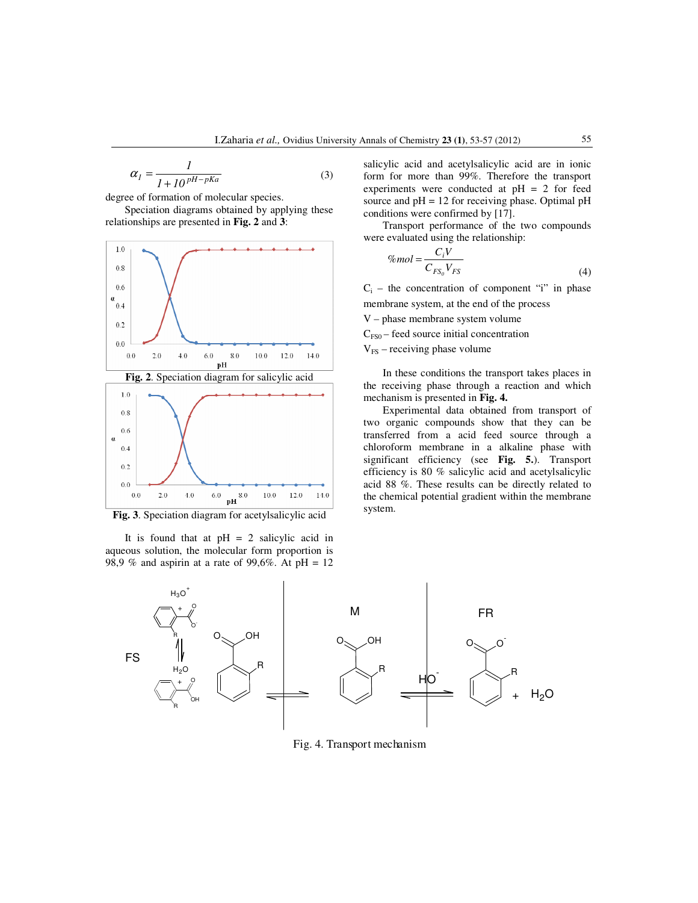$$
\alpha_{I} = \frac{I}{I + I0^{pH - pKa}}\tag{3}
$$

degree of formation of molecular species.

Speciation diagrams obtained by applying these relationships are presented in **Fig. 2** and **3**:





**Fig. 3**. Speciation diagram for acetylsalicylic acid

It is found that at  $pH = 2$  salicylic acid in aqueous solution, the molecular form proportion is 98,9 % and aspirin at a rate of 99,6%. At  $pH = 12$  salicylic acid and acetylsalicylic acid are in ionic form for more than 99%. Therefore the transport experiments were conducted at pH = 2 for feed source and  $pH = 12$  for receiving phase. Optimal  $pH$ conditions were confirmed by [17].

Transport performance of the two compounds were evaluated using the relationship:

$$
\%mol = \frac{C_i V}{C_{FS_0} V_{FS}}\tag{4}
$$

 $C_i$  – the concentration of component "i" in phase membrane system, at the end of the process

V – phase membrane system volume

 $C_{FS0}$  – feed source initial concentration

 $V_{FS}$  – receiving phase volume

In these conditions the transport takes places in the receiving phase through a reaction and which mechanism is presented in **Fig. 4.**

Experimental data obtained from transport of two organic compounds show that they can be transferred from a acid feed source through a chloroform membrane in a alkaline phase with significant efficiency (see **Fig. 5.**). Transport efficiency is 80 % salicylic acid and acetylsalicylic acid 88 %. These results can be directly related to the chemical potential gradient within the membrane system.



Fig. 4. Transport mechanism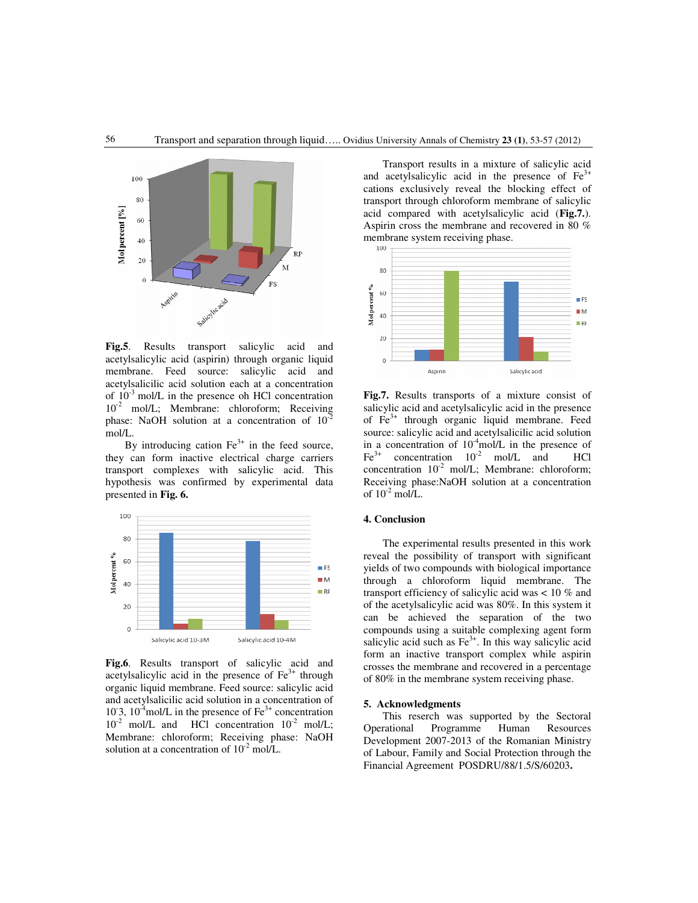

**Fig.5**. Results transport salicylic acid and acetylsalicylic acid (aspirin) through organic liquid membrane. Feed source: salicylic acid and acetylsalicilic acid solution each at a concentration of  $10^{-3}$  mol/L in the presence oh HCl concentration 10<sup>-2</sup> mol/L; Membrane: chloroform; Receiving phase: NaOH solution at a concentration of  $10^{-2}$ mol/L.

By introducing cation  $Fe<sup>3+</sup>$  in the feed source, they can form inactive electrical charge carriers transport complexes with salicylic acid. This hypothesis was confirmed by experimental data presented in **Fig. 6.**



**Fig.6**. Results transport of salicylic acid and acetylsalicylic acid in the presence of  $Fe<sup>3+</sup>$  through organic liquid membrane. Feed source: salicylic acid and acetylsalicilic acid solution in a concentration of 10<sup>-3</sup>, 10<sup>-4</sup>mol/L in the presence of  $Fe<sup>3+</sup>$  concentration  $10^{-2}$  mol/L and HCl concentration  $10^{-2}$  mol/L; Membrane: chloroform; Receiving phase: NaOH solution at a concentration of  $10^{-2}$  mol/L.

Transport results in a mixture of salicylic acid and acetylsalicylic acid in the presence of  $Fe<sup>3+</sup>$ cations exclusively reveal the blocking effect of transport through chloroform membrane of salicylic acid compared with acetylsalicylic acid (**Fig.7.**). Aspirin cross the membrane and recovered in 80 % membrane system receiving phase.



**Fig.7.** Results transports of a mixture consist of salicylic acid and acetylsalicylic acid in the presence of Fe<sup>3+</sup> through organic liquid membrane. Feed source: salicylic acid and acetylsalicilic acid solution in a concentration of  $10^4$ mol/L in the presence of  $Fe<sup>3+</sup>$  concentration  $10^{-2}$  mol/L and HCl concentration  $10^{-2}$  mol/L; Membrane: chloroform; Receiving phase:NaOH solution at a concentration of  $10^{-2}$  mol/L.

## **4. Conclusion**

The experimental results presented in this work reveal the possibility of transport with significant yields of two compounds with biological importance through a chloroform liquid membrane. The transport efficiency of salicylic acid was < 10 % and of the acetylsalicylic acid was 80%. In this system it can be achieved the separation of the two compounds using a suitable complexing agent form salicylic acid such as  $Fe<sup>3+</sup>$ . In this way salicylic acid form an inactive transport complex while aspirin crosses the membrane and recovered in a percentage of 80% in the membrane system receiving phase.

### **5. Acknowledgments**

This reserch was supported by the Sectoral Operational Programme Human Resources Development 2007-2013 of the Romanian Ministry of Labour, Family and Social Protection through the Financial Agreement POSDRU/88/1.5/S/60203**.**